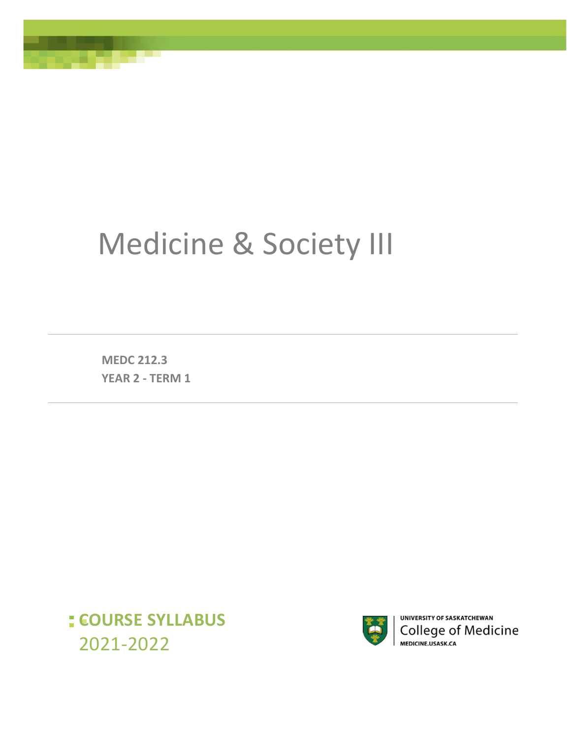# Medicine & Society III

**MEDC 212.3 YEAR 2 - TERM 1**

,7HeCanllab

**COURSE SYLLABUS**  2021-2022



UNIVERSITY OF SASKATCHEWAN College of Medicine MEDICINE.USASK.CA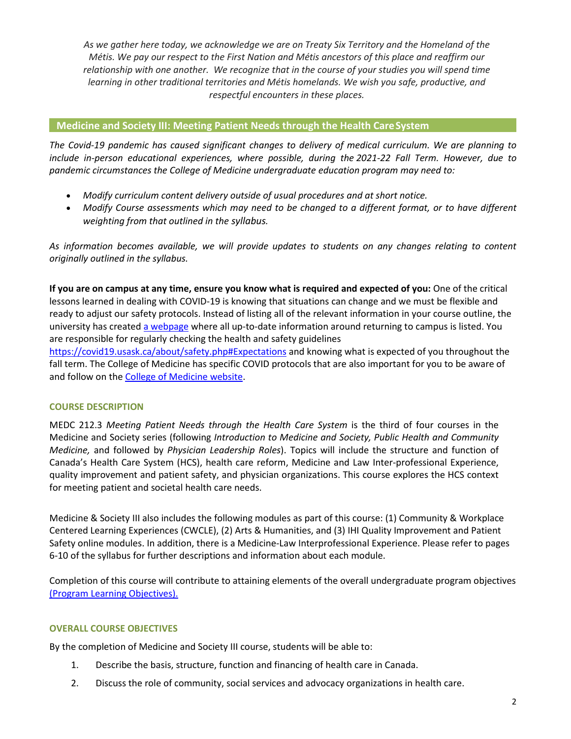*As we gather here today, we acknowledge we are on Treaty Six Territory and the Homeland of the Métis. We pay our respect to the First Nation and Métis ancestors of this place and reaffirm our relationship with one another. We recognize that in the course of your studies you will spend time learning in other traditional territories and Métis homelands. We wish you safe, productive, and respectful encounters in these places.*

# **Medicine and Society III: Meeting Patient Needs through the Health Care System**

*The Covid-19 pandemic has caused significant changes to delivery of medical curriculum. We are planning to include in-person educational experiences, where possible, during the 2021-22 Fall Term. However, due to pandemic circumstances the College of Medicine undergraduate education program may need to:* 

- *Modify curriculum content delivery outside of usual procedures and at short notice.*
- *Modify Course assessments which may need to be changed to a different format, or to have different weighting from that outlined in the syllabus.*

*As information becomes available, we will provide updates to students on any changes relating to content originally outlined in the syllabus.* 

**If you are on campus at any time, ensure you know what is required and expected of you:** One of the critical lessons learned in dealing with COVID-19 is knowing that situations can change and we must be flexible and ready to adjust our safety protocols. Instead of listing all of the relevant information in your course outline, the university has created [a webpage w](https://covid19.usask.ca/students.php#Oncampusessentials)here all up-to-date information around returning to campus is listed. You are responsible for regularly checking the health and safety guidelines

<https://covid19.usask.ca/about/safety.php#Expectations>and knowing what is expected of you throughout the fall term. The College of Medicine has specific COVID protocols that are also important for you to be aware of and follow on the [College of Medicine website.](https://medicine.usask.ca/students/covid19.php)

## **COURSE DESCRIPTION**

MEDC 212.3 *Meeting Patient Needs through the Health Care System* is the third of four courses in the Medicine and Society series (following *Introduction to Medicine and Society, Public Health and Community Medicine,* and followed by *Physician Leadership Roles*). Topics will include the structure and function of Canada's Health Care System (HCS), health care reform, Medicine and Law Inter-professional Experience, quality improvement and patient safety, and physician organizations. This course explores the HCS context for meeting patient and societal health care needs.

Medicine & Society III also includes the following modules as part of this course: (1) Community & Workplace Centered Learning Experiences (CWCLE), (2) Arts & Humanities, and (3) IHI Quality Improvement and Patient Safety online modules. In addition, there is a Medicine-Law Interprofessional Experience. Please refer to pages 6-10 of the syllabus for further descriptions and information about each module.

Completion of this course will contribute to attaining elements of the overall undergraduate program objectives [\(Program Learning Objectives\).](https://medicine.usask.ca/students/undergraduate/curriculum-schedules-objectives.php)

## **OVERALL COURSE OBJECTIVES**

By the completion of Medicine and Society III course, students will be able to:

- 1. Describe the basis, structure, function and financing of health care in Canada.
- 2. Discuss the role of community, social services and advocacy organizations in health care.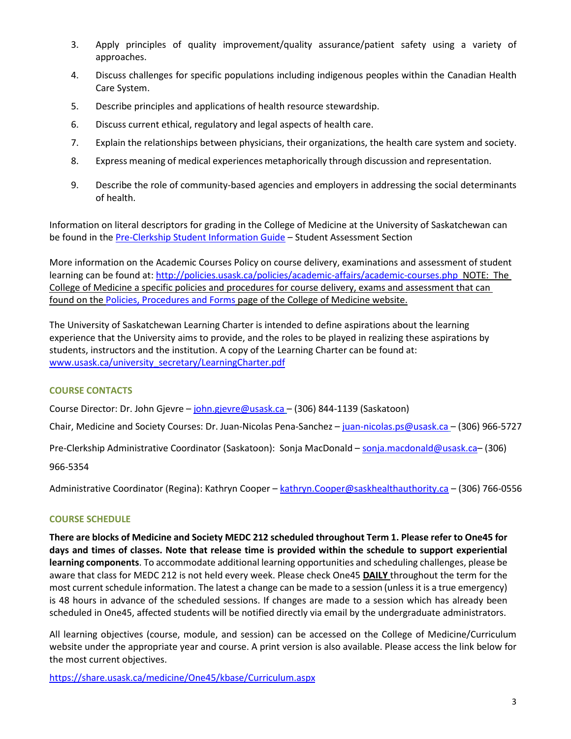- 3. Apply principles of quality improvement/quality assurance/patient safety using a variety of approaches.
- 4. Discuss challenges for specific populations including indigenous peoples within the Canadian Health Care System.
- 5. Describe principles and applications of health resource stewardship.
- 6. Discuss current ethical, regulatory and legal aspects of health care.
- 7. Explain the relationships between physicians, their organizations, the health care system and society.
- 8. Express meaning of medical experiences metaphorically through discussion and representation.
- 9. Describe the role of community-based agencies and employers in addressing the social determinants of health.

Information on literal descriptors for grading in the College of Medicine at the University of Saskatchewan can be found in the [Pre-Clerkship Student Information Guide](https://medicine.usask.ca/documents/ugme/syllabi/student-guide-to-pre-clerkship.pdf) – Student Assessment Section

More information on the Academic Courses Policy on course delivery, examinations and assessment of student learning can be found at:<http://policies.usask.ca/policies/academic-affairs/academic-courses.php>NOTE: The College of Medicine a specific policies and procedures for course delivery, exams and assessment that can found on th[e Policies, Procedures and Forms p](https://medicine.usask.ca/students/undergraduate/policies.php)age of the College of Medicine website.

The University of Saskatchewan Learning Charter is intended to define aspirations about the learning experience that the University aims to provide, and the roles to be played in realizing these aspirations by students, instructors and the institution. A copy of the Learning Charter can be found at: [www.usask.ca/university\\_secretary/LearningCharter.pdf](http://www.usask.ca/university_secretary/LearningCharter.pdf)

# **COURSE CONTACTS**

Course Director: Dr. John Gjevre [– john.gjevre@usask.ca](mailto:john.gjevre@usask.ca) – (306) 844-1139 (Saskatoon)

Chair, Medicine and Society Courses: Dr. Juan-Nicolas Pena-Sanchez – [juan-nicolas.ps@usask.ca](mailto:juan-nicholas@usask.ca) – (306) 966-5727

Pre-Clerkship Administrative Coordinator (Saskatoon): Sonja MacDonald [– sonja.macdonald@usask.ca–](mailto:daniele.mcdonald@usask.ca) (306)

966-5354

Administrative Coordinator (Regina): Kathryn Cooper – [kathryn.Cooper@saskhealthauthority.ca](mailto:kathryn.Cooper@saskhealthauthority.ca) – (306) 766-0556

## **COURSE SCHEDULE**

**There are blocks of Medicine and Society MEDC 212 scheduled throughout Term 1. Please refer to One45 for days and times of classes. Note that release time is provided within the schedule to support experiential learning components**. To accommodate additional learning opportunities and scheduling challenges, please be aware that class for MEDC 212 is not held every week. Please check One45 **DAILY** throughout the term for the most current schedule information. The latest a change can be made to a session (unless it is a true emergency) is 48 hours in advance of the scheduled sessions. If changes are made to a session which has already been scheduled in One45, affected students will be notified directly via email by the undergraduate administrators.

All learning objectives (course, module, and session) can be accessed on the College of Medicine/Curriculum website under the appropriate year and course. A print version is also available. Please access the link below for the most current objectives.

[https://share.usask.ca/medicine/One45/kbase/Curriculum.aspx](https://share.usask.ca/medicine/one45/kbase/Curriculum.aspx)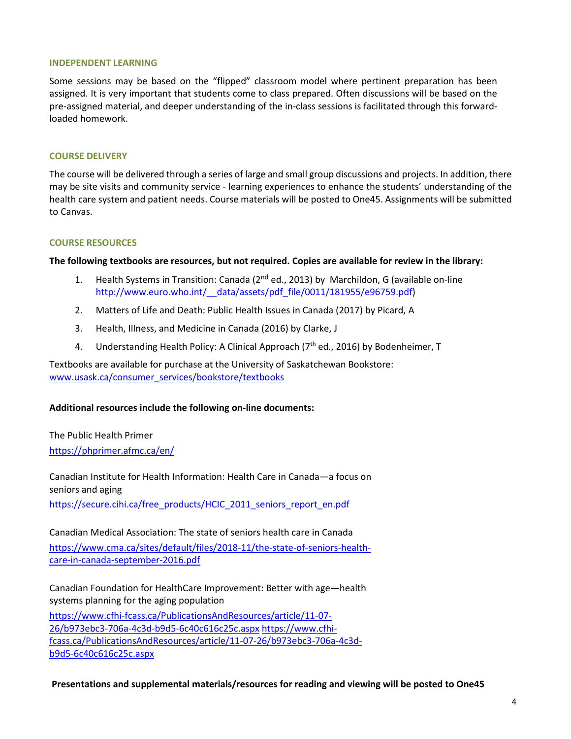#### **INDEPENDENT LEARNING**

Some sessions may be based on the "flipped" classroom model where pertinent preparation has been assigned. It is very important that students come to class prepared. Often discussions will be based on the pre-assigned material, and deeper understanding of the in-class sessions is facilitated through this forwardloaded homework.

#### **COURSE DELIVERY**

The course will be delivered through a series of large and small group discussions and projects. In addition, there may be site visits and community service - learning experiences to enhance the students' understanding of the health care system and patient needs. Course materials will be posted to One45. Assignments will be submitted to Canvas.

#### **COURSE RESOURCES**

**The following textbooks are resources, but not required. Copies are available for review in the library:** 

- 1. Health Systems in Transition: Canada (2<sup>nd</sup> ed., 2013) by Marchildon, G (available on-line [http://www.euro.who.int/\\_\\_data/assets/pdf\\_file/0011/181955/e96759.pdf\)](https://webmail.rqhealth.ca/owa/redir.aspx?C=8ObKhTmt9nesfxE-f5XmbBLp08SQURCwE4A92DlluTj1WRoNh4vVCA..&URL=http%3a%2f%2fwww.euro.who.int%2f__data%2fassets%2fpdf_file%2f0011%2f181955%2fe96759.pdf)
- 2. Matters of Life and Death: Public Health Issues in Canada (2017) by Picard, A
- 3. Health, Illness, and Medicine in Canada (2016) by Clarke, J
- 4. Understanding Health Policy: A Clinical Approach ( $7<sup>th</sup>$  ed., 2016) by Bodenheimer, T

Textbooks are available for purchase at the University of Saskatchewan Bookstore: [www.usask.ca/consumer\\_services/bookstore/textbooks](http://www.usask.ca/consumer_services/bookstore/textbooks)

#### **Additional resources include the following on-line documents:**

The Public Health Primer <https://phprimer.afmc.ca/en/>

Canadian Institute for Health Information: Health Care in Canada—a focus on seniors and aging https://secure.cihi.ca/free\_products/HCIC\_2011\_seniors\_report\_en.pdf

Canadian Medical Association: The state of seniors health care in Canada [https://www.cma.ca/sites/default/files/2018-11/the-state-of-seniors-health](https://www.cma.ca/sites/default/files/2018-11/the-state-of-seniors-health-care-in-canada-september-2016.pdf)[care-in-canada-september-2016.pdf](https://www.cma.ca/sites/default/files/2018-11/the-state-of-seniors-health-care-in-canada-september-2016.pdf) 

Canadian Foundation for HealthCare Improvement: Better with age—health systems planning for the aging population

[https://www.cfhi-fcass.ca/PublicationsAndResources/article/11-07-](https://www.cfhi-fcass.ca/PublicationsAndResources/article/11-07-26/b973ebc3-706a-4c3d-b9d5-6c40c616c25c.aspx) [26/b973ebc3-706a-4c3d-b9d5-6c40c616c25c.aspx](https://www.cfhi-fcass.ca/PublicationsAndResources/article/11-07-26/b973ebc3-706a-4c3d-b9d5-6c40c616c25c.aspx) https://www.cfhifcass.ca/PublicationsAndResources/article/11-07-26/b973ebc3-706a-4c3db9d5-6c40c616c25c.aspx

 **Presentations and supplemental materials/resources for reading and viewing will be posted to One45**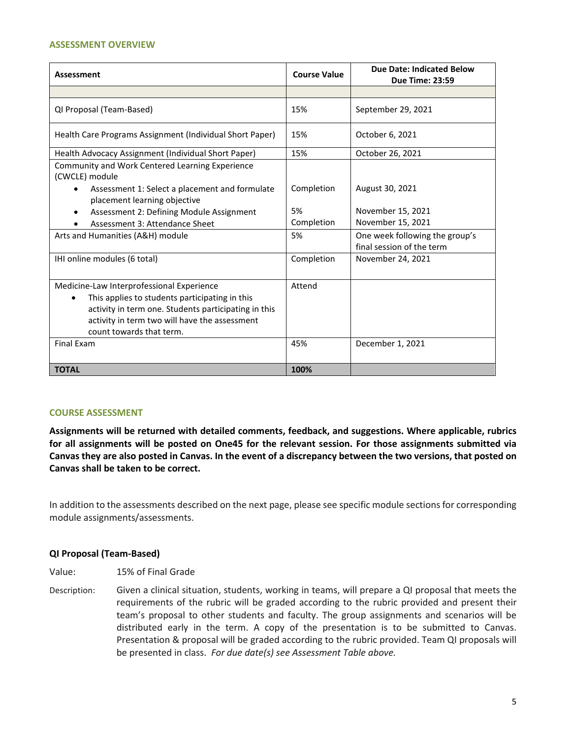#### **ASSESSMENT OVERVIEW**

| <b>Assessment</b>                                                                                                   | <b>Course Value</b> | <b>Due Date: Indicated Below</b><br><b>Due Time: 23:59</b>  |
|---------------------------------------------------------------------------------------------------------------------|---------------------|-------------------------------------------------------------|
|                                                                                                                     |                     |                                                             |
| QI Proposal (Team-Based)                                                                                            | 15%                 | September 29, 2021                                          |
| Health Care Programs Assignment (Individual Short Paper)                                                            | 15%                 | October 6, 2021                                             |
| Health Advocacy Assignment (Individual Short Paper)                                                                 | 15%                 | October 26, 2021                                            |
| Community and Work Centered Learning Experience<br>(CWCLE) module<br>Assessment 1: Select a placement and formulate | Completion          | August 30, 2021                                             |
| placement learning objective                                                                                        |                     |                                                             |
| Assessment 2: Defining Module Assignment                                                                            | 5%                  | November 15, 2021                                           |
| Assessment 3: Attendance Sheet                                                                                      | Completion          | November 15, 2021                                           |
| Arts and Humanities (A&H) module                                                                                    | 5%                  | One week following the group's<br>final session of the term |
| IHI online modules (6 total)                                                                                        | Completion          | November 24, 2021                                           |
| Medicine-Law Interprofessional Experience                                                                           | Attend              |                                                             |
| This applies to students participating in this                                                                      |                     |                                                             |
| activity in term one. Students participating in this                                                                |                     |                                                             |
| activity in term two will have the assessment                                                                       |                     |                                                             |
| count towards that term.                                                                                            |                     |                                                             |
| <b>Final Exam</b>                                                                                                   | 45%                 | December 1, 2021                                            |
| <b>TOTAL</b>                                                                                                        | 100%                |                                                             |

#### **COURSE ASSESSMENT**

**Assignments will be returned with detailed comments, feedback, and suggestions. Where applicable, rubrics for all assignments will be posted on One45 for the relevant session. For those assignments submitted via Canvas they are also posted in Canvas. In the event of a discrepancy between the two versions, that posted on Canvas shall be taken to be correct.** 

In addition to the assessments described on the next page, please see specific module sections for corresponding module assignments/assessments.

#### **QI Proposal (Team-Based)**

- Value: 15% of Final Grade
- Description: Given a clinical situation, students, working in teams, will prepare a QI proposal that meets the requirements of the rubric will be graded according to the rubric provided and present their team's proposal to other students and faculty. The group assignments and scenarios will be distributed early in the term. A copy of the presentation is to be submitted to Canvas. Presentation & proposal will be graded according to the rubric provided. Team QI proposals will be presented in class. *For due date(s) see Assessment Table above.*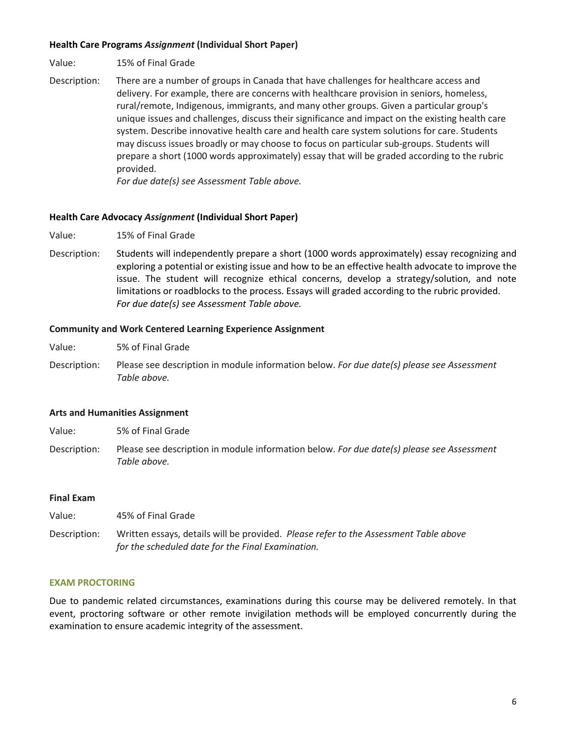## **Health Care Programs** *Assignment* **(Individual Short Paper)**

- Value: 15% of Final Grade
- Description: There are a number of groups in Canada that have challenges for healthcare access and delivery. For example, there are concerns with healthcare provision in seniors, homeless, rural/remote, Indigenous, immigrants, and many other groups. Given a particular group's unique issues and challenges, discuss their significance and impact on the existing health care system. Describe innovative health care and health care system solutions for care. Students may discuss issues broadly or may choose to focus on particular sub-groups. Students will prepare a short (1000 words approximately) essay that will be graded according to the rubric provided.

*For due date(s) see Assessment Table above.*

#### **Health Care Advocacy** *Assignment* **(Individual Short Paper)**

- Value: 15% of Final Grade
- Description: Students will independently prepare a short (1000 words approximately) essay recognizing and exploring a potential or existing issue and how to be an effective health advocate to improve the issue. The student will recognize ethical concerns, develop a strategy/solution, and note limitations or roadblocks to the process. Essays will graded according to the rubric provided. *For due date(s) see Assessment Table above.*

#### **Community and Work Centered Learning Experience Assignment**

- Value: 5% of Final Grade
- Description: Please see description in module information below. *For due date(s) please see Assessment Table above.*

## **Arts and Humanities Assignment**

- Value: 5% of Final Grade
- Description: Please see description in module information below. *For due date(s) please see Assessment Table above.*

#### **Final Exam**

Value: 45% of Final Grade

Description: Written essays, details will be provided. *Please refer to the Assessment Table above for the scheduled date for the Final Examination.*

#### **EXAM PROCTORING**

Due to pandemic related circumstances, examinations during this course may be delivered remotely. In that event, proctoring software or other remote invigilation methods will be employed concurrently during the examination to ensure academic integrity of the assessment.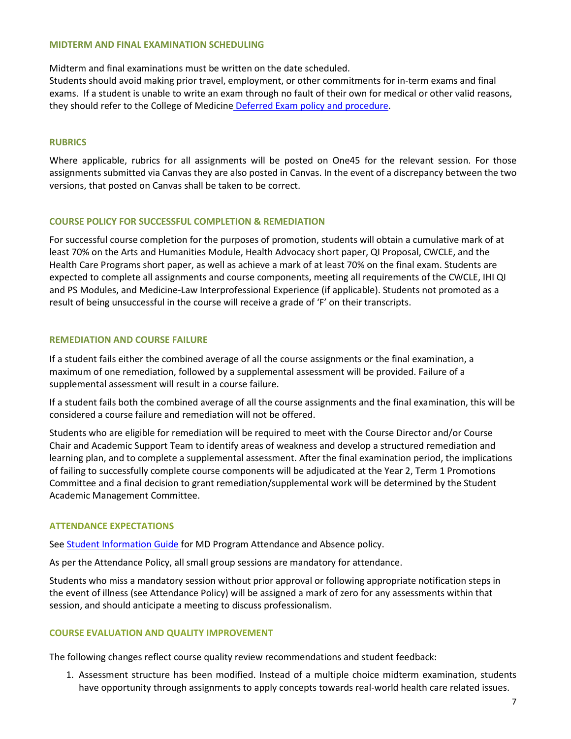#### **MIDTERM AND FINAL EXAMINATION SCHEDULING**

Midterm and final examinations must be written on the date scheduled.

Students should avoid making prior travel, employment, or other commitments for in-term exams and final exams. If a student is unable to write an exam through no fault of their own for medical or other valid reasons, they should refer to the College of Medicine [Deferred Exam policy and procedure.](https://medicine.usask.ca/policies/deferred-exams.php)

## **RUBRICS**

Where applicable, rubrics for all assignments will be posted on One45 for the relevant session. For those assignments submitted via Canvas they are also posted in Canvas. In the event of a discrepancy between the two versions, that posted on Canvas shall be taken to be correct.

## **COURSE POLICY FOR SUCCESSFUL COMPLETION & REMEDIATION**

For successful course completion for the purposes of promotion, students will obtain a cumulative mark of at least 70% on the Arts and Humanities Module, Health Advocacy short paper, QI Proposal, CWCLE, and the Health Care Programs short paper, as well as achieve a mark of at least 70% on the final exam. Students are expected to complete all assignments and course components, meeting all requirements of the CWCLE, IHI QI and PS Modules, and Medicine-Law Interprofessional Experience (if applicable). Students not promoted as a result of being unsuccessful in the course will receive a grade of 'F' on their transcripts.

## **REMEDIATION AND COURSE FAILURE**

If a student fails either the combined average of all the course assignments or the final examination, a maximum of one remediation, followed by a supplemental assessment will be provided. Failure of a supplemental assessment will result in a course failure.

If a student fails both the combined average of all the course assignments and the final examination, this will be considered a course failure and remediation will not be offered.

Students who are eligible for remediation will be required to meet with the Course Director and/or Course Chair and Academic Support Team to identify areas of weakness and develop a structured remediation and learning plan, and to complete a supplemental assessment. After the final examination period, the implications of failing to successfully complete course components will be adjudicated at the Year 2, Term 1 Promotions Committee and a final decision to grant remediation/supplemental work will be determined by the Student Academic Management Committee.

## **ATTENDANCE EXPECTATIONS**

Se[e Student Information Guide](http://medicine.usask.ca/students/undergraduate/curriculum-schedules-objectives.php) for MD Program Attendance and Absence policy.

As per the Attendance Policy, all small group sessions are mandatory for attendance.

Students who miss a mandatory session without prior approval or following appropriate notification steps in the event of illness (see Attendance Policy) will be assigned a mark of zero for any assessments within that session, and should anticipate a meeting to discuss professionalism.

## **COURSE EVALUATION AND QUALITY IMPROVEMENT**

The following changes reflect course quality review recommendations and student feedback:

1. Assessment structure has been modified. Instead of a multiple choice midterm examination, students have opportunity through assignments to apply concepts towards real-world health care related issues.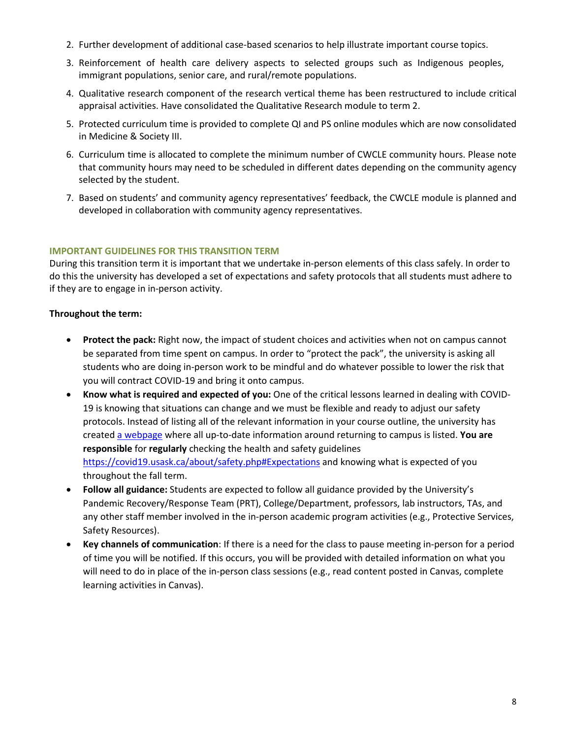- 2. Further development of additional case-based scenarios to help illustrate important course topics.
- 3. Reinforcement of health care delivery aspects to selected groups such as Indigenous peoples, immigrant populations, senior care, and rural/remote populations.
- 4. Qualitative research component of the research vertical theme has been restructured to include critical appraisal activities. Have consolidated the Qualitative Research module to term 2.
- 5. Protected curriculum time is provided to complete QI and PS online modules which are now consolidated in Medicine & Society III.
- 6. Curriculum time is allocated to complete the minimum number of CWCLE community hours. Please note that community hours may need to be scheduled in different dates depending on the community agency selected by the student.
- 7. Based on students' and community agency representatives' feedback, the CWCLE module is planned and developed in collaboration with community agency representatives.

# **IMPORTANT GUIDELINES FOR THIS TRANSITION TERM**

During this transition term it is important that we undertake in-person elements of this class safely. In order to do this the university has developed a set of expectations and safety protocols that all students must adhere to if they are to engage in in-person activity.

# **Throughout the term:**

- **Protect the pack:** Right now, the impact of student choices and activities when not on campus cannot be separated from time spent on campus. In order to "protect the pack", the university is asking all students who are doing in-person work to be mindful and do whatever possible to lower the risk that you will contract COVID-19 and bring it onto campus.
- **Know what is required and expected of you:** One of the critical lessons learned in dealing with COVID-19 is knowing that situations can change and we must be flexible and ready to adjust our safety protocols. Instead of listing all of the relevant information in your course outline, the university has create[d a webpage](https://covid19.usask.ca/students.php#Oncampusessentials) where all up-to-date information around returning to campus is listed. **You are responsible** for **regularly** checking the health and safety guidelines <https://covid19.usask.ca/about/safety.php#Expectations>and knowing what is expected of you throughout the fall term.
- **Follow all guidance:** Students are expected to follow all guidance provided by the University's Pandemic Recovery/Response Team (PRT), College/Department, professors, lab instructors, TAs, and any other staff member involved in the in-person academic program activities (e.g., Protective Services, Safety Resources).
- **Key channels of communication**: If there is a need for the class to pause meeting in-person for a period of time you will be notified. If this occurs, you will be provided with detailed information on what you will need to do in place of the in-person class sessions (e.g., read content posted in Canvas, complete learning activities in Canvas).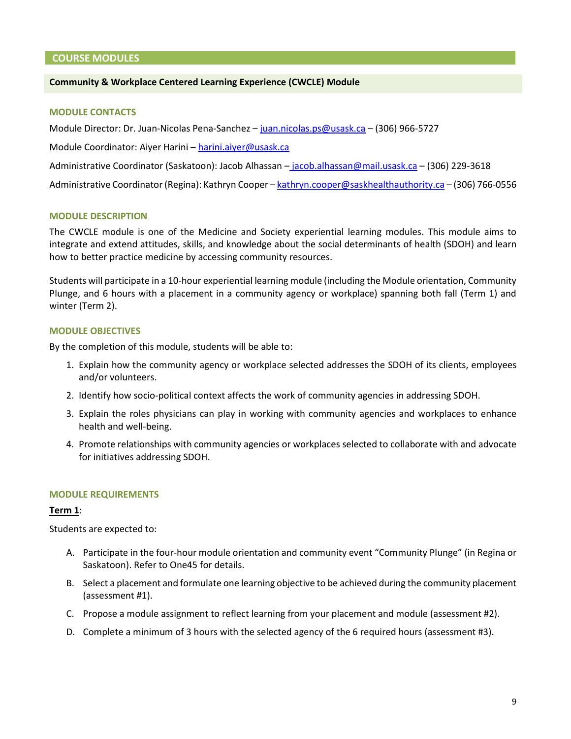#### **COURSE MODULES**

## **Community & Workplace Centered Learning Experience (CWCLE) Module**

#### **MODULE CONTACTS**

Module Director: Dr. Juan-Nicolas Pena-Sanchez - [juan.nicolas.ps@usask.ca](mailto:juan.nicolas.ps@usask.ca) - (306) 966-5727

Module Coordinator: Aiyer Harini [– harini.aiyer@usask.ca](mailto:harini.aiyer@usask.ca) 

Administrative Coordinator (Saskatoon): Jacob Alhassan – [jacob.alhassan@mail.usask.ca](mailto:jacob.alhassan@mail.usask.ca) – (306) 229-3618

Administrative Coordinator (Regina): Kathryn Cooper [– kathryn.cooper@saskhealthauthority.ca](mailto:kathryn.cooper@saskhealthauthority.ca) – (306) 766-0556

#### **MODULE DESCRIPTION**

The CWCLE module is one of the Medicine and Society experiential learning modules. This module aims to integrate and extend attitudes, skills, and knowledge about the social determinants of health (SDOH) and learn how to better practice medicine by accessing community resources.

Students will participate in a 10-hour experiential learning module (including the Module orientation, Community Plunge, and 6 hours with a placement in a community agency or workplace) spanning both fall (Term 1) and winter (Term 2).

#### **MODULE OBJECTIVES**

By the completion of this module, students will be able to:

- 1. Explain how the community agency or workplace selected addresses the SDOH of its clients, employees and/or volunteers.
- 2. Identify how socio-political context affects the work of community agencies in addressing SDOH.
- 3. Explain the roles physicians can play in working with community agencies and workplaces to enhance health and well-being.
- 4. Promote relationships with community agencies or workplaces selected to collaborate with and advocate for initiatives addressing SDOH.

#### **MODULE REQUIREMENTS**

#### **Term 1**:

Students are expected to:

- A. Participate in the four-hour module orientation and community event "Community Plunge" (in Regina or Saskatoon). Refer to One45 for details.
- B. Select a placement and formulate one learning objective to be achieved during the community placement (assessment #1).
- C. Propose a module assignment to reflect learning from your placement and module (assessment #2).
- D. Complete a minimum of 3 hours with the selected agency of the 6 required hours (assessment #3).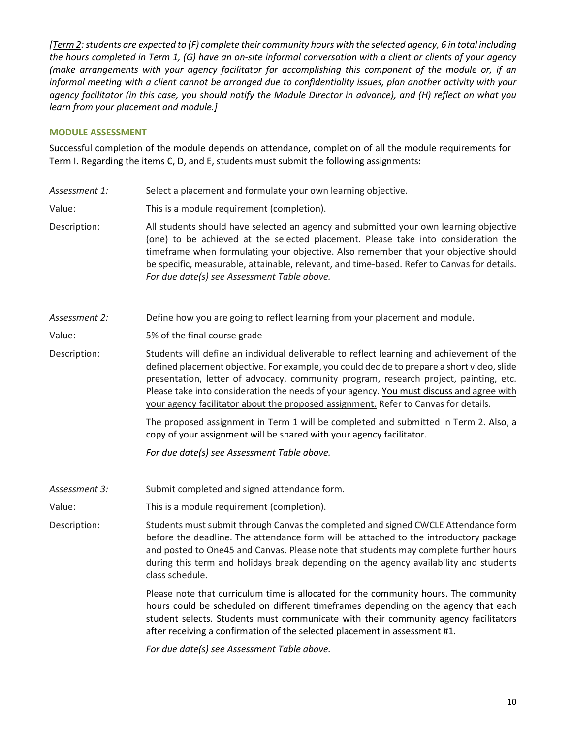*[Term 2: students are expected to (F) complete their community hours with the selected agency, 6 in total including the hours completed in Term 1, (G) have an on-site informal conversation with a client or clients of your agency (make arrangements with your agency facilitator for accomplishing this component of the module or, if an informal meeting with a client cannot be arranged due to confidentiality issues, plan another activity with your agency facilitator (in this case, you should notify the Module Director in advance), and (H) reflect on what you learn from your placement and module.]* 

## **MODULE ASSESSMENT**

Successful completion of the module depends on attendance, completion of all the module requirements for Term I. Regarding the items C, D, and E, students must submit the following assignments:

Assessment 1: Select a placement and formulate your own learning objective.

Value: This is a module requirement (completion).

Description: All students should have selected an agency and submitted your own learning objective (one) to be achieved at the selected placement. Please take into consideration the timeframe when formulating your objective. Also remember that your objective should be specific, measurable, attainable, relevant, and time-based. Refer to Canvas for details. *For due date(s) see Assessment Table above.* 

*Assessment 2:* Define how you are going to reflect learning from your placement and module.

Value: 5% of the final course grade

Description: Students will define an individual deliverable to reflect learning and achievement of the defined placement objective. For example, you could decide to prepare a short video, slide presentation, letter of advocacy, community program, research project, painting, etc. Please take into consideration the needs of your agency. You must discuss and agree with your agency facilitator about the proposed assignment. Refer to Canvas for details.

> The proposed assignment in Term 1 will be completed and submitted in Term 2. Also, a copy of your assignment will be shared with your agency facilitator.

*For due date(s) see Assessment Table above.*

Assessment 3: Submit completed and signed attendance form.

Value: This is a module requirement (completion).

Description: Students must submit through Canvas the completed and signed CWCLE Attendance form before the deadline. The attendance form will be attached to the introductory package and posted to One45 and Canvas. Please note that students may complete further hours during this term and holidays break depending on the agency availability and students class schedule.

> Please note that curriculum time is allocated for the community hours. The community hours could be scheduled on different timeframes depending on the agency that each student selects. Students must communicate with their community agency facilitators after receiving a confirmation of the selected placement in assessment #1.

*For due date(s) see Assessment Table above.*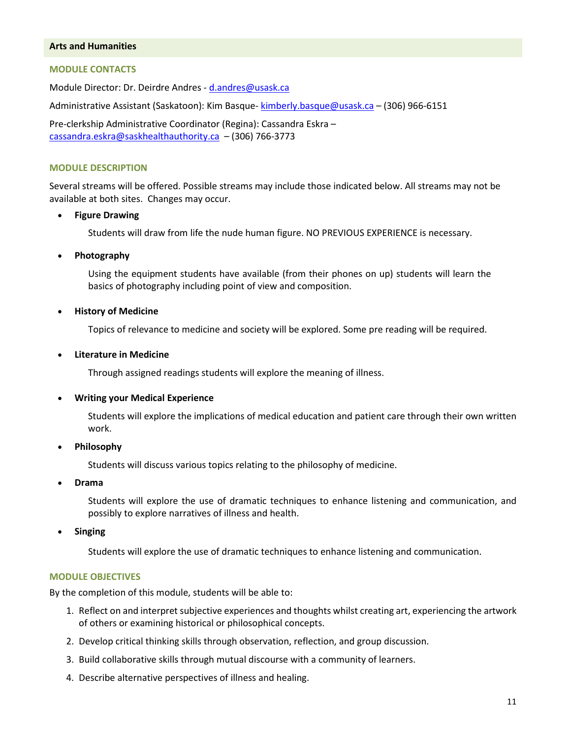## **Arts and Humanities**

#### **MODULE CONTACTS**

Module Director: Dr. Deirdre Andres - [d.andres@usask.ca](mailto:d.andres@usask.ca)

Administrative Assistant (Saskatoon): Kim Basque[- kimberly.basque@usask.ca](mailto:kimberly.basque@usask.ca) - (306) 966-6151

Pre-clerkship Administrative Coordinator (Regina): Cassandra Eskra – [cassandra.eskra@saskhealthauthority.ca](mailto:cassandra.eskra@saskhealthauthority.ca) – (306) 766-3773

#### **MODULE DESCRIPTION**

Several streams will be offered. Possible streams may include those indicated below. All streams may not be available at both sites. Changes may occur.

#### **Figure Drawing**

Students will draw from life the nude human figure. NO PREVIOUS EXPERIENCE is necessary.

#### **Photography**

Using the equipment students have available (from their phones on up) students will learn the basics of photography including point of view and composition.

#### **History of Medicine**

Topics of relevance to medicine and society will be explored. Some pre reading will be required.

#### **Literature in Medicine**

Through assigned readings students will explore the meaning of illness.

#### **Writing your Medical Experience**

Students will explore the implications of medical education and patient care through their own written work.

**Philosophy** 

Students will discuss various topics relating to the philosophy of medicine.

**Drama** 

Students will explore the use of dramatic techniques to enhance listening and communication, and possibly to explore narratives of illness and health.

**Singing**

Students will explore the use of dramatic techniques to enhance listening and communication.

#### **MODULE OBJECTIVES**

By the completion of this module, students will be able to:

- 1. Reflect on and interpret subjective experiences and thoughts whilst creating art, experiencing the artwork of others or examining historical or philosophical concepts.
- 2. Develop critical thinking skills through observation, reflection, and group discussion.
- 3. Build collaborative skills through mutual discourse with a community of learners.
- 4. Describe alternative perspectives of illness and healing.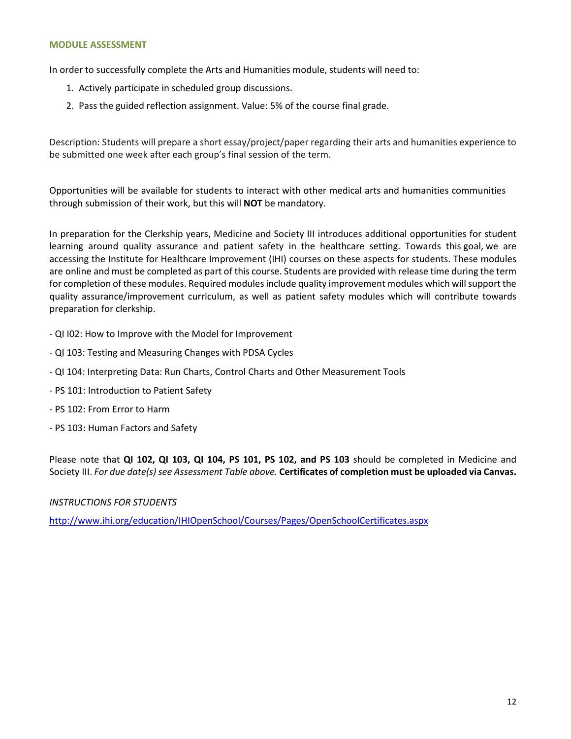#### **MODULE ASSESSMENT**

In order to successfully complete the Arts and Humanities module, students will need to:

- 1. Actively participate in scheduled group discussions.
- 2. Pass the guided reflection assignment. Value: 5% of the course final grade.

Description: Students will prepare a short essay/project/paper regarding their arts and humanities experience to be submitted one week after each group's final session of the term.

Opportunities will be available for students to interact with other medical arts and humanities communities through submission of their work, but this will **NOT** be mandatory.

In preparation for the Clerkship years, Medicine and Society III introduces additional opportunities for student learning around quality assurance and patient safety in the healthcare setting. Towards this goal, we are accessing the Institute for Healthcare Improvement (IHI) courses on these aspects for students. These modules are online and must be completed as part of this course. Students are provided with release time during the term for completion of these modules. Required modules include quality improvement modules which will support the quality assurance/improvement curriculum, as well as patient safety modules which will contribute towards preparation for clerkship.

- QI I02: How to Improve with the Model for Improvement
- QI 103: Testing and Measuring Changes with PDSA Cycles
- QI 104: Interpreting Data: Run Charts, Control Charts and Other Measurement Tools
- PS 101: Introduction to Patient Safety
- PS 102: From Error to Harm
- PS 103: Human Factors and Safety

Please note that **QI 102, QI 103, QI 104, PS 101, PS 102, and PS 103** should be completed in Medicine and Society III. *For due date(s) see Assessment Table above.* **Certificates of completion must be uploaded via Canvas.** 

*INSTRUCTIONS FOR STUDENTS* 

<http://www.ihi.org/education/IHIOpenSchool/Courses/Pages/OpenSchoolCertificates.aspx>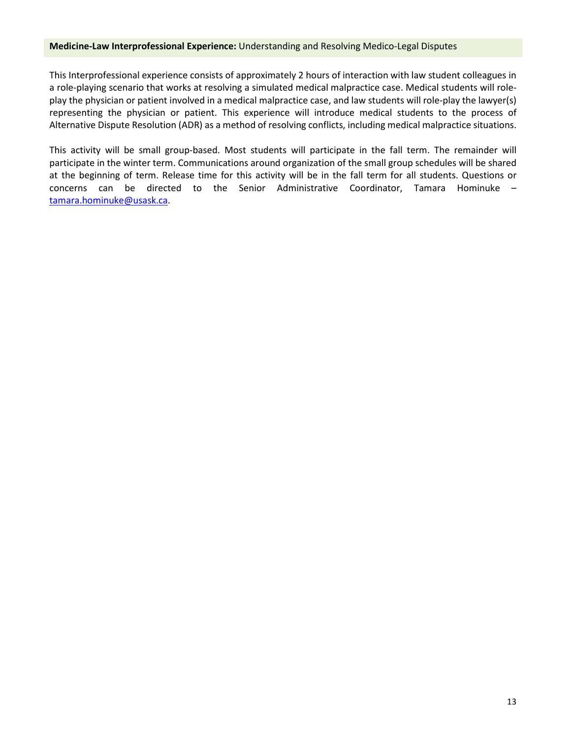## **Medicine-Law Interprofessional Experience:** Understanding and Resolving Medico-Legal Disputes

This Interprofessional experience consists of approximately 2 hours of interaction with law student colleagues in a role-playing scenario that works at resolving a simulated medical malpractice case. Medical students will roleplay the physician or patient involved in a medical malpractice case, and law students will role-play the lawyer(s) representing the physician or patient. This experience will introduce medical students to the process of Alternative Dispute Resolution (ADR) as a method of resolving conflicts, including medical malpractice situations.

This activity will be small group-based. Most students will participate in the fall term. The remainder will participate in the winter term. Communications around organization of the small group schedules will be shared at the beginning of term. Release time for this activity will be in the fall term for all students. Questions or concerns can be directed to the Senior Administrative Coordinator, Tamara Hominuke – [tamara.hominuke@usask.ca.](mailto:tamara.hominuke@usask.ca)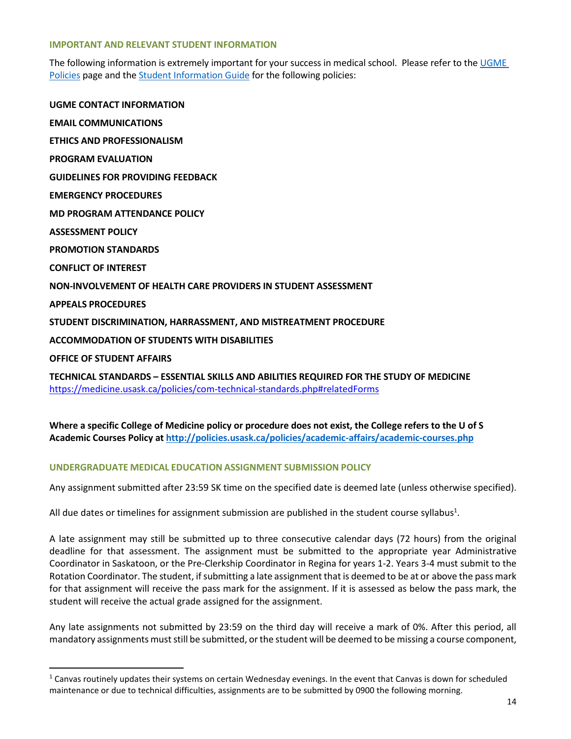#### **IMPORTANT AND RELEVANT STUDENT INFORMATION**

The following information is extremely important for your success in medical school. Please refer to the UGME [Policies](http://medicine.usask.ca/students/undergraduate/policies.php) page and the [Student Information Guide](http://medicine.usask.ca/students/undergraduate/curriculum-schedules-objectives.php#Aboriginalhealthinthecurriculum) for the following policies:

**UGME CONTACT INFORMATION EMAIL COMMUNICATIONS ETHICS AND PROFESSIONALISM PROGRAM EVALUATION GUIDELINES FOR PROVIDING FEEDBACK\ EMERGENCY PROCEDURES MD PROGRAM ATTENDANCE POLICY ASSESSMENT POLICY PROMOTION STANDARDS CONFLICT OF INTEREST NON-INVOLVEMENT OF HEALTH CARE PROVIDERS IN STUDENT ASSESSMENT APPEALS PROCEDURES STUDENT DISCRIMINATION, HARRASSMENT, AND MISTREATMENT PROCEDURE ACCOMMODATION OF STUDENTS WITH DISABILITIES OFFICE OF STUDENT AFFAIRS TECHNICAL STANDARDS – ESSENTIAL SKILLS AND ABILITIES REQUIRED FOR THE STUDY OF MEDICINE**

<https://medicine.usask.ca/policies/com-technical-standards.php#relatedForms>

**Where a specific College of Medicine policy or procedure does not exist, the College refers to the U of S Academic Courses Policy at<http://policies.usask.ca/policies/academic-affairs/academic-courses.php>**

## **UNDERGRADUATE MEDICAL EDUCATION ASSIGNMENT SUBMISSION POLICY**

 $\overline{a}$ 

Any assignment submitted after 23:59 SK time on the specified date is deemed late (unless otherwise specified).

All due dates or timelines for assignment submission are published in the student course syllabus<sup>1</sup>.

A late assignment may still be submitted up to three consecutive calendar days (72 hours) from the original deadline for that assessment. The assignment must be submitted to the appropriate year Administrative Coordinator in Saskatoon, or the Pre-Clerkship Coordinator in Regina for years 1-2. Years 3-4 must submit to the Rotation Coordinator. The student, if submitting a late assignment that is deemed to be at or above the pass mark for that assignment will receive the pass mark for the assignment. If it is assessed as below the pass mark, the student will receive the actual grade assigned for the assignment.

Any late assignments not submitted by 23:59 on the third day will receive a mark of 0%. After this period, all mandatory assignments must still be submitted, or the student will be deemed to be missing a course component,

 $1$  Canvas routinely updates their systems on certain Wednesday evenings. In the event that Canvas is down for scheduled maintenance or due to technical difficulties, assignments are to be submitted by 0900 the following morning.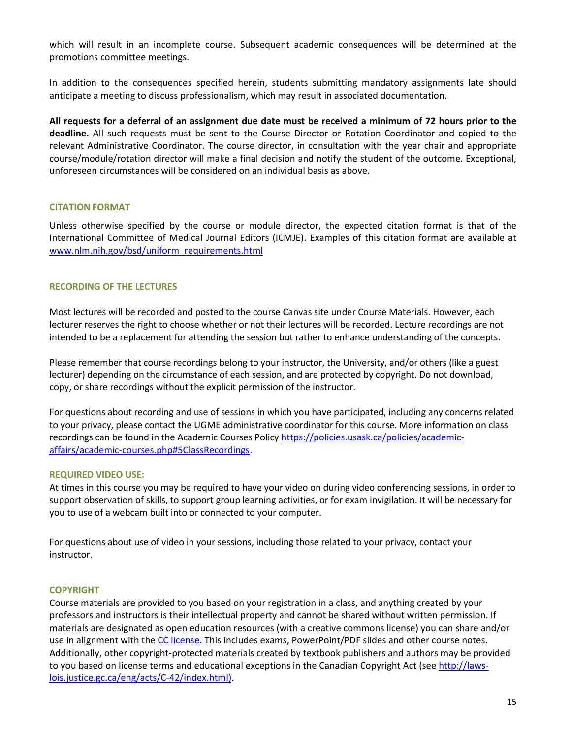which will result in an incomplete course. Subsequent academic consequences will be determined at the promotions committee meetings.

In addition to the consequences specified herein, students submitting mandatory assignments late should anticipate a meeting to discuss professionalism, which may result in associated documentation.

**All requests for a deferral of an assignment due date must be received a minimum of 72 hours prior to the deadline.** All such requests must be sent to the Course Director or Rotation Coordinator and copied to the relevant Administrative Coordinator. The course director, in consultation with the year chair and appropriate course/module/rotation director will make a final decision and notify the student of the outcome. Exceptional, unforeseen circumstances will be considered on an individual basis as above.

## **CITATION FORMAT**

Unless otherwise specified by the course or module director, the expected citation format is that of the International Committee of Medical Journal Editors (ICMJE). Examples of this citation format are available at [www.nlm.nih.gov/bsd/uniform\\_requirements.html](http://www.nlm.nih.gov/bsd/uniform_requirements.html)

# **RECORDING OF THE LECTURES**

Most lectures will be recorded and posted to the course Canvas site under Course Materials. However, each lecturer reserves the right to choose whether or not their lectures will be recorded. Lecture recordings are not intended to be a replacement for attending the session but rather to enhance understanding of the concepts.

Please remember that course recordings belong to your instructor, the University, and/or others (like a guest lecturer) depending on the circumstance of each session, and are protected by copyright. Do not download, copy, or share recordings without the explicit permission of the instructor.

For questions about recording and use of sessions in which you have participated, including any concerns related to your privacy, please contact the UGME administrative coordinator for this course. More information on class recordings can be found in the Academic Courses Polic[y https://policies.usask.ca/policies/academic](https://policies.usask.ca/policies/academic-affairs/academic-courses.php#5ClassRecordings)[affairs/academic-courses.php#5ClassRecordings.](https://policies.usask.ca/policies/academic-affairs/academic-courses.php#5ClassRecordings)

## **REQUIRED VIDEO USE:**

At times in this course you may be required to have your video on during video conferencing sessions, in order to support observation of skills, to support group learning activities, or for exam invigilation. It will be necessary for you to use of a webcam built into or connected to your computer.

For questions about use of video in your sessions, including those related to your privacy, contact your instructor.

## **COPYRIGHT**

Course materials are provided to you based on your registration in a class, and anything created by your professors and instructors is their intellectual property and cannot be shared without written permission. If materials are designated as open education resources (with a creative commons license) you can share and/or use in alignment with the [CC license.](https://openpress.usask.ca/authoring/chapter/creative-commons-licenses/) This includes exams, PowerPoint/PDF slides and other course notes. Additionally, other copyright-protected materials created by textbook publishers and authors may be provided to you based on license terms and educational exceptions in the Canadian Copyright Act (se[e http://laws](http://laws-lois.justice.gc.ca/eng/acts/C-42/index.html)[lois.justice.gc.ca/eng/acts/C-42/index.html\).](http://laws-lois.justice.gc.ca/eng/acts/C-42/index.html)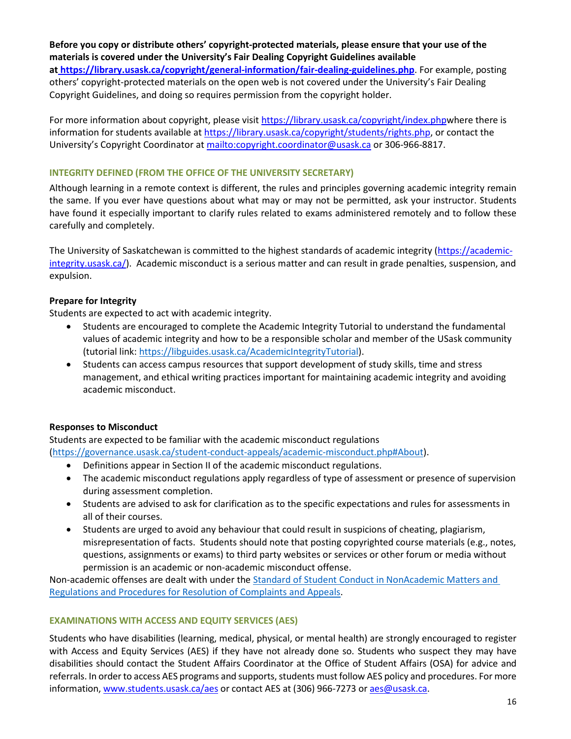# **Before you copy or distribute others' copyright-protected materials, please ensure that your use of the materials is covered under the University's Fair Dealing Copyright Guidelines available**

**a[t https://library.usask.ca/copyright/general-information/fair-dealing-guidelines.php](https://library.usask.ca/copyright/general-information/fair-dealing-guidelines.php)**. For example, posting others' copyright-protected materials on the open web is not covered under the University's Fair Dealing Copyright Guidelines, and doing so requires permission from the copyright holder.

For more information about copyright, please visit [https://library.usask.ca/copyright/index.phpw](https://library.usask.ca/copyright/index.php)here there is information for students available at [https://library.usask.ca/copyright/students/rights.php,](https://library.usask.ca/copyright/students/rights.php) or contact the University's Copyright Coordinator a[t mailto:copyright.coordinator@usask.ca](mailto:copyright.coordinator@usask.ca) or 306-966-8817.

## **INTEGRITY DEFINED (FROM THE OFFICE OF THE UNIVERSITY SECRETARY)**

Although learning in a remote context is different, the rules and principles governing academic integrity remain the same. If you ever have questions about what may or may not be permitted, ask your instructor. Students have found it especially important to clarify rules related to exams administered remotely and to follow these carefully and completely.

The University of Saskatchewan is committed to the highest standards of academic integrity [\(https://academic](https://academic-integrity.usask.ca/)[integrity.usask.ca/\)](https://academic-integrity.usask.ca/). Academic misconduct is a serious matter and can result in grade penalties, suspension, and expulsion.

# **Prepare for Integrity**

Students are expected to act with academic integrity.

- Students are encouraged to complete the Academic Integrity Tutorial to understand the fundamental values of academic integrity and how to be a responsible scholar and member of the USask community (tutorial link: [https://libguides.usask.ca/AcademicIntegrityTutorial\)](https://libguides.usask.ca/AcademicIntegrityTutorial).
- Students can access campus resources that support development of study skills, time and stress management, and ethical writing practices important for maintaining academic integrity and avoiding academic misconduct.

## **Responses to Misconduct**

Students are expected to be familiar with the academic misconduct regulations [\(https://governance.usask.ca/student-conduct-appeals/academic-misconduct.php#About\)](https://governance.usask.ca/student-conduct-appeals/academic-misconduct.php#About).

- Definitions appear in Section II of the academic misconduct regulations.
- The academic misconduct regulations apply regardless of type of assessment or presence of supervision during assessment completion.
- Students are advised to ask for clarification as to the specific expectations and rules for assessments in all of their courses.
- Students are urged to avoid any behaviour that could result in suspicions of cheating, plagiarism, misrepresentation of facts. Students should note that posting copyrighted course materials (e.g., notes, questions, assignments or exams) to third party websites or services or other forum or media without permission is an academic or non-academic misconduct offense.

Non-academic offenses are dealt with under the [Standard of Student Conduct in NonAcademic Matters and](https://governance.usask.ca/student-conduct-appeals/non-academic-misconduct.php)  [Regulations and Procedures for Resolution of Complaints and Appeals.](https://governance.usask.ca/student-conduct-appeals/non-academic-misconduct.php)

# **EXAMINATIONS WITH ACCESS AND EQUITY SERVICES (AES)**

Students who have disabilities (learning, medical, physical, or mental health) are strongly encouraged to register with Access and Equity Services (AES) if they have not already done so. Students who suspect they may have disabilities should contact the Student Affairs Coordinator at the Office of Student Affairs (OSA) for advice and referrals. In order to access AES programs and supports, students must follow AES policy and procedures. For more information[, www.students.usask.ca/aes](http://www.students.usask.ca/aes) or contact AES at (306) 966-7273 o[r aes@usask.ca.](mailto:aes@usask.ca)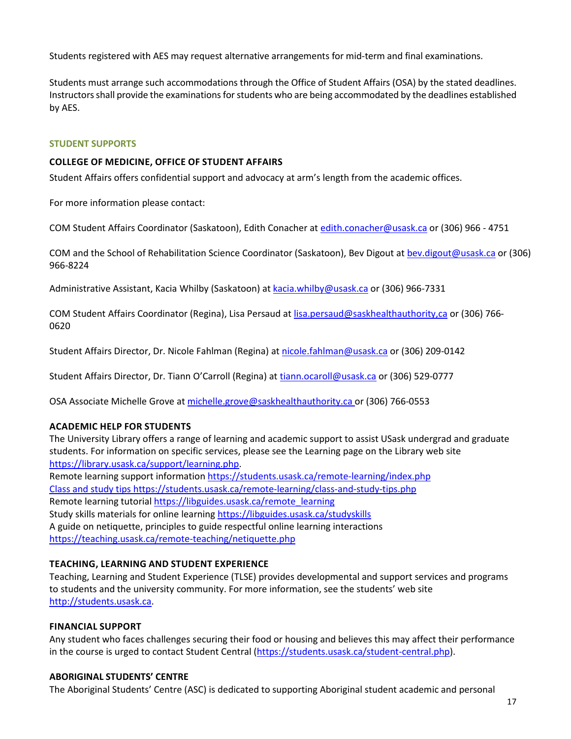Students registered with AES may request alternative arrangements for mid-term and final examinations.

Students must arrange such accommodations through the Office of Student Affairs (OSA) by the stated deadlines. Instructors shall provide the examinations for students who are being accommodated by the deadlines established by AES.

## **STUDENT SUPPORTS**

## **COLLEGE OF MEDICINE, OFFICE OF STUDENT AFFAIRS**

Student Affairs offers confidential support and advocacy at arm's length from the academic offices.

For more information please contact:

COM Student Affairs Coordinator (Saskatoon), Edith Conacher a[t edith.conacher@usask.ca](mailto:edith.conacher@usask.ca) or (306) 966 - 4751

COM and the School of Rehabilitation Science Coordinator (Saskatoon), Bev Digout a[t bev.digout@usask.ca o](mailto:bev.digout@usask.ca)r (306) 966-8224

Administrative Assistant, Kacia Whilby (Saskatoon) at [kacia.whilby@usask.ca](mailto:kacia.whilby@usask.ca) or (306) 966-7331

COM Student Affairs Coordinator (Regina), Lisa Persaud at [lisa.persaud@saskhealthauthority,ca](mailto:lisa.persaud@saskhealthauthority,ca) or (306) 766- 0620

Student Affairs Director, Dr. Nicole Fahlman (Regina) at [nicole.fahlman@usask.ca](mailto:nicole.fahlman@usask.ca) or (306) 209-0142

Student Affairs Director, Dr. Tiann O'Carroll (Regina) at [tiann.ocaroll@usask.ca](mailto:tiann.ocaroll@usask.ca) or (306) 529-0777

OSA Associate Michelle [Grove at michelle.grove@saskhealthauthority.ca or \(306\)](mailto:Grove%20at%20michelle.grove@saskhealthauthority.ca%20or%20(306)) 766-0553

# **ACADEMIC HELP FOR STUDENTS**

The University Library offers a range of learning and academic support to assist USask undergrad and graduate students. For information on specific services, please see the Learning page on the Library web site [https://library.usask.ca/support/learning.php.](https://library.usask.ca/support/learning.php)

Remote learning support informatio[n https://students.usask.ca/remote-learning/index.php](https://students.usask.ca/remote-learning/index.php) Class and study tips<https://students.usask.ca/remote-learning/class-and-study-tips.php> Remote learning tutorial [https://libguides.usask.ca/remote\\_learning](https://libguides.usask.ca/remote_learning) Study skills materials for online learning https://libguides.usask.ca/studyskills A guide on netiquette, principles to guide respectful online learning interactions <https://teaching.usask.ca/remote-teaching/netiquette.php>

# **TEACHING, LEARNING AND STUDENT EXPERIENCE**

Teaching, Learning and Student Experience (TLSE) provides developmental and support services and programs to students and the university community. For more information, see the students' web site [http://students.usask.ca.](http://students.usask.ca/)

# **FINANCIAL SUPPORT**

Any student who faces challenges securing their food or housing and believes this may affect their performance in the course is urged to contact Student Central [\(https://students.usask.ca/student-central.php\)](https://students.usask.ca/student-central.php).

# **ABORIGINAL STUDENTS' CENTRE**

The Aboriginal Students' Centre (ASC) is dedicated to supporting Aboriginal student academic and personal